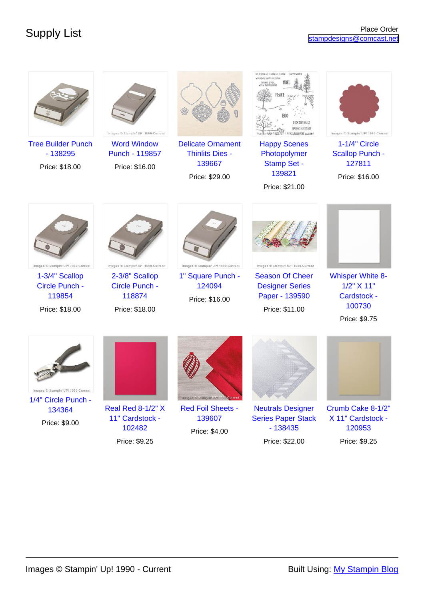| <b>Tree Builder Punch</b><br>$-138295$<br>Price: \$18.00  | Images ® Stampin' UP! 1990-Current<br><b>Word Window</b><br>Punch - 119857<br>Price: \$16.00 | <b>Delicate Ornament</b><br><b>Thinlits Dies -</b><br>139667 | LET IT SNOW LET IT SNOW LET IT SNOW<br>WISSING YOU & SAPPY WALDWIS<br>URtidS90:@expan<br><b>Happy Scenes</b><br>Photopolymer<br><b>Stamp Set -</b> | Images ® Stampin' UP! 1990-Current<br>1-1/4" Circle<br><b>Scallop Punch -</b><br>127811 |
|-----------------------------------------------------------|----------------------------------------------------------------------------------------------|--------------------------------------------------------------|----------------------------------------------------------------------------------------------------------------------------------------------------|-----------------------------------------------------------------------------------------|
|                                                           |                                                                                              | Price: \$29.00                                               | 139821                                                                                                                                             | Price: \$16.00                                                                          |
|                                                           |                                                                                              |                                                              | Price: \$21.00                                                                                                                                     |                                                                                         |
| Images ® Stampin' UP! 1990-Current                        | Images ® Stampin' UP! 1990-Current                                                           | Images ® Stampin' UP! 1990-Current                           | Images ® Stampin' UP! 1990-Current                                                                                                                 |                                                                                         |
| 1-3/4" Scallop<br>Circle Punch -                          | 2-3/8" Scallop<br>Circle Punch -                                                             | 1" Square Punch -<br>124094                                  | <b>Season Of Cheer</b><br><b>Designer Series</b>                                                                                                   | <b>Whisper White 8-</b><br>$1/2$ " $X$ 11"                                              |
| 119854                                                    | 118874                                                                                       | Price: \$16.00                                               | Paper - 139590                                                                                                                                     | Cardstock -                                                                             |
| Price: \$18.00                                            | Price: \$18.00                                                                               |                                                              | Price: \$11.00                                                                                                                                     | 100730<br>Price: \$9.75                                                                 |
| Images ® Stampin' UP! 1990-Current<br>1/4" Circle Punch - |                                                                                              | Images @ Stampin' UP! 1990 Current                           |                                                                                                                                                    |                                                                                         |
| 134364                                                    | <b>Real Red 8-1/2" X</b><br>11" Cardstock -                                                  | <b>Red Foil Sheets -</b><br>139607                           | <b>Neutrals Designer</b><br><b>Series Paper Stack</b>                                                                                              | Crumb Cake 8-1/2"<br>X 11" Cardstock -                                                  |
| Price: \$9.00                                             | 102482                                                                                       | Price: \$4.00                                                | $-138435$                                                                                                                                          | 120953                                                                                  |
|                                                           | Price: \$9.25                                                                                |                                                              | Price: \$22.00                                                                                                                                     | Price: \$9.25                                                                           |